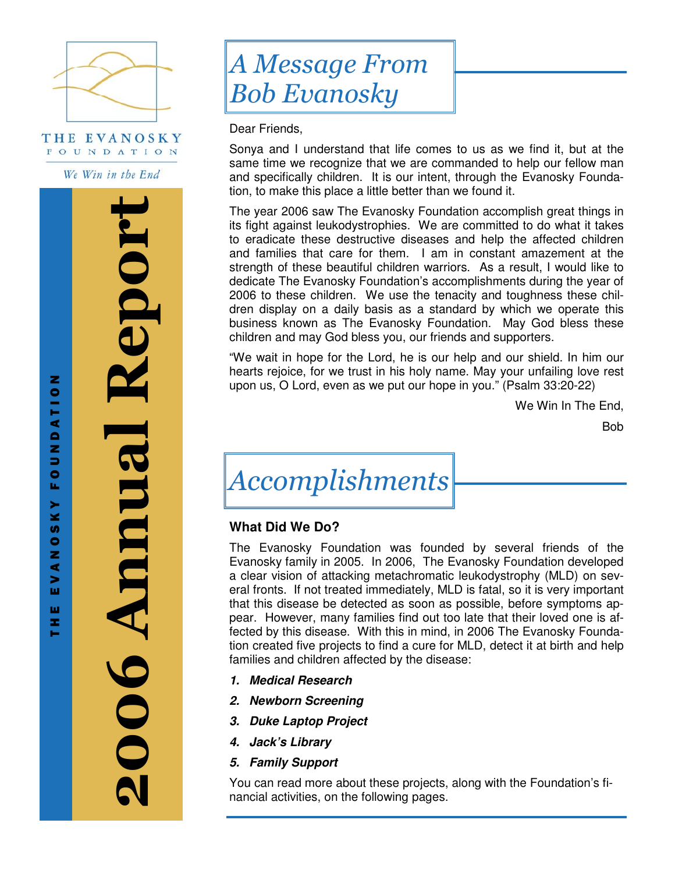

THE EVANOSKY FOUNDATION

We Win in the End

2006 Annual Report Kepor **DOGAMINA** 

T H E E V A N O N O N O N T O N T O N O N T O N

z

DATIO

N<sub>D</sub>

u,

**KY**  $\overline{v}$  $\bullet$ z ⋖  $\blacktriangleright$ ш ш z.

# A Message From Bob Evanosky

Dear Friends,

Sonya and I understand that life comes to us as we find it, but at the same time we recognize that we are commanded to help our fellow man and specifically children. It is our intent, through the Evanosky Foundation, to make this place a little better than we found it.

The year 2006 saw The Evanosky Foundation accomplish great things in its fight against leukodystrophies. We are committed to do what it takes to eradicate these destructive diseases and help the affected children and families that care for them. I am in constant amazement at the strength of these beautiful children warriors. As a result, I would like to dedicate The Evanosky Foundation's accomplishments during the year of 2006 to these children. We use the tenacity and toughness these children display on a daily basis as a standard by which we operate this business known as The Evanosky Foundation. May God bless these children and may God bless you, our friends and supporters.

"We wait in hope for the Lord, he is our help and our shield. In him our hearts rejoice, for we trust in his holy name. May your unfailing love rest upon us, O Lord, even as we put our hope in you." (Psalm 33:20-22)

We Win In The End,

Bob

# Accomplishments

# **What Did We Do?**

The Evanosky Foundation was founded by several friends of the Evanosky family in 2005. In 2006, The Evanosky Foundation developed a clear vision of attacking metachromatic leukodystrophy (MLD) on several fronts. If not treated immediately, MLD is fatal, so it is very important that this disease be detected as soon as possible, before symptoms appear. However, many families find out too late that their loved one is affected by this disease. With this in mind, in 2006 The Evanosky Foundation created five projects to find a cure for MLD, detect it at birth and help families and children affected by the disease:

- **1. Medical Research**
- **2. Newborn Screening**
- **3. Duke Laptop Project**
- **4. Jack's Library**
- **5. Family Support**

You can read more about these projects, along with the Foundation's financial activities, on the following pages.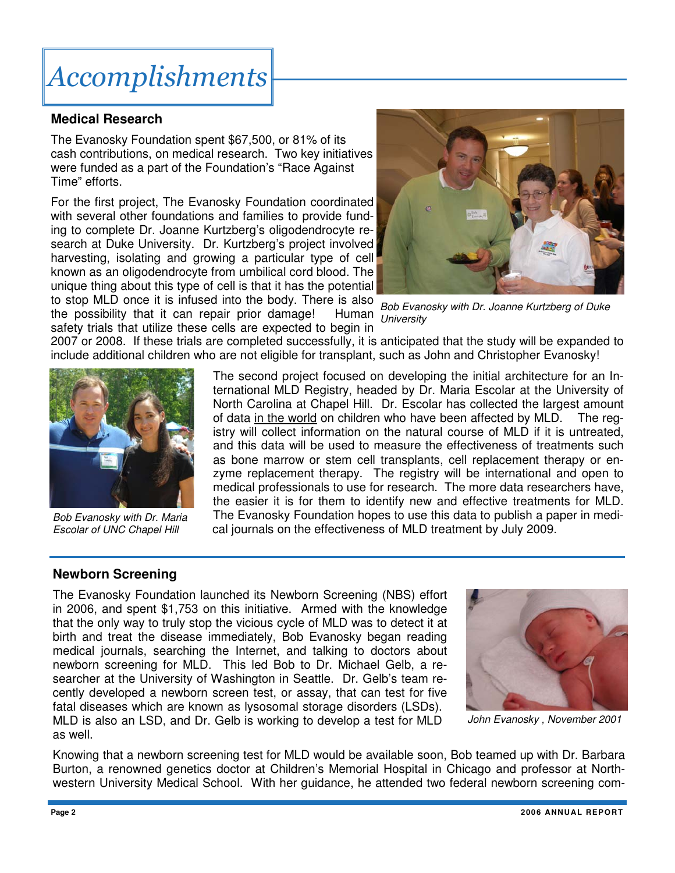# Accomplishments

## **Medical Research**

The Evanosky Foundation spent \$67,500, or 81% of its cash contributions, on medical research. Two key initiatives were funded as a part of the Foundation's "Race Against Time" efforts.

For the first project, The Evanosky Foundation coordinated with several other foundations and families to provide funding to complete Dr. Joanne Kurtzberg's oligodendrocyte research at Duke University. Dr. Kurtzberg's project involved harvesting, isolating and growing a particular type of cell known as an oligodendrocyte from umbilical cord blood. The unique thing about this type of cell is that it has the potential to stop MLD once it is infused into the body. There is also



the possibility that it can repair prior damage! Human safety trials that utilize these cells are expected to begin in

Bob Evanosky with Dr. Joanne Kurtzberg of Duke **University** 

2007 or 2008. If these trials are completed successfully, it is anticipated that the study will be expanded to include additional children who are not eligible for transplant, such as John and Christopher Evanosky!



Bob Evanosky with Dr. Maria Escolar of UNC Chapel Hill

The second project focused on developing the initial architecture for an International MLD Registry, headed by Dr. Maria Escolar at the University of North Carolina at Chapel Hill. Dr. Escolar has collected the largest amount of data in the world on children who have been affected by MLD. The registry will collect information on the natural course of MLD if it is untreated, and this data will be used to measure the effectiveness of treatments such as bone marrow or stem cell transplants, cell replacement therapy or enzyme replacement therapy. The registry will be international and open to medical professionals to use for research. The more data researchers have, the easier it is for them to identify new and effective treatments for MLD. The Evanosky Foundation hopes to use this data to publish a paper in medical journals on the effectiveness of MLD treatment by July 2009.

# **Newborn Screening**

The Evanosky Foundation launched its Newborn Screening (NBS) effort in 2006, and spent \$1,753 on this initiative. Armed with the knowledge that the only way to truly stop the vicious cycle of MLD was to detect it at birth and treat the disease immediately, Bob Evanosky began reading medical journals, searching the Internet, and talking to doctors about newborn screening for MLD. This led Bob to Dr. Michael Gelb, a researcher at the University of Washington in Seattle. Dr. Gelb's team recently developed a newborn screen test, or assay, that can test for five fatal diseases which are known as lysosomal storage disorders (LSDs). MLD is also an LSD, and Dr. Gelb is working to develop a test for MLD as well.



John Evanosky , November 2001

Knowing that a newborn screening test for MLD would be available soon, Bob teamed up with Dr. Barbara Burton, a renowned genetics doctor at Children's Memorial Hospital in Chicago and professor at Northwestern University Medical School. With her guidance, he attended two federal newborn screening com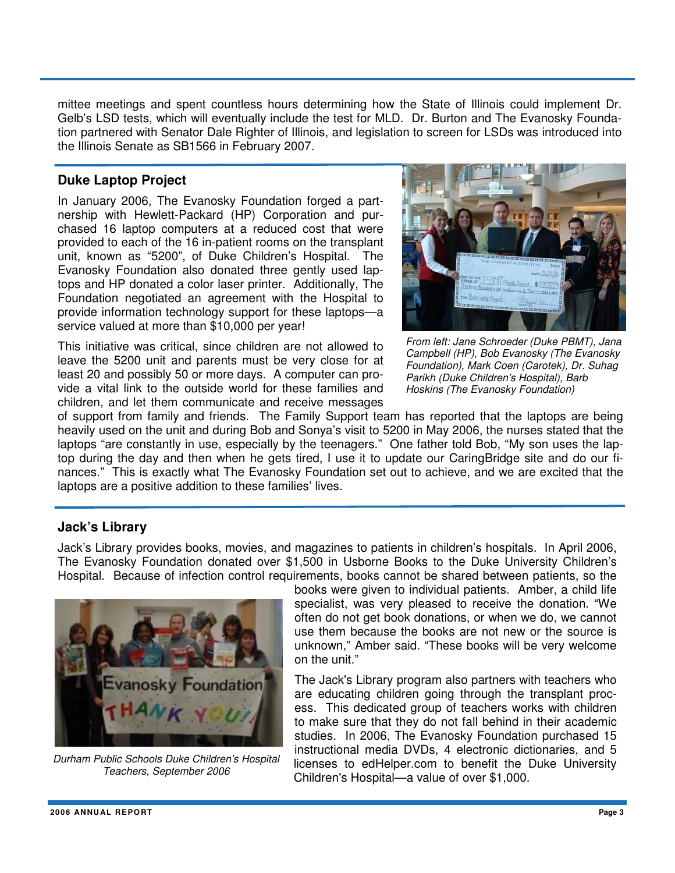mittee meetings and spent countless hours determining how the State of Illinois could implement Dr. Gelb's LSD tests, which will eventually include the test for MLD. Dr. Burton and The Evanosky Foundation partnered with Senator Dale Righter of Illinois, and legislation to screen for LSDs was introduced into the Illinois Senate as SB1566 in February 2007.

### **Duke Laptop Project**

In January 2006, The Evanosky Foundation forged a partnership with Hewlett-Packard (HP) Corporation and purchased 16 laptop computers at a reduced cost that were provided to each of the 16 in-patient rooms on the transplant unit, known as "5200", of Duke Children's Hospital. The Evanosky Foundation also donated three gently used laptops and HP donated a color laser printer. Additionally, The Foundation negotiated an agreement with the Hospital to provide information technology support for these laptops—a service valued at more than \$10,000 per year!

This initiative was critical, since children are not allowed to leave the 5200 unit and parents must be very close for at least 20 and possibly 50 or more days. A computer can provide a vital link to the outside world for these families and children, and let them communicate and receive messages



From left: Jane Schroeder (Duke PBMT), Jana Campbell (HP), Bob Evanosky (The Evanosky Foundation), Mark Coen (Carotek), Dr. Suhag Parikh (Duke Children's Hospital), Barb Hoskins (The Evanosky Foundation)

of support from family and friends. The Family Support team has reported that the laptops are being heavily used on the unit and during Bob and Sonya's visit to 5200 in May 2006, the nurses stated that the laptops "are constantly in use, especially by the teenagers." One father told Bob, "My son uses the laptop during the day and then when he gets tired, I use it to update our CaringBridge site and do our finances." This is exactly what The Evanosky Foundation set out to achieve, and we are excited that the laptops are a positive addition to these families' lives.

### **Jack's Library**

Jack's Library provides books, movies, and magazines to patients in children's hospitals. In April 2006, The Evanosky Foundation donated over \$1,500 in Usborne Books to the Duke University Children's Hospital. Because of infection control requirements, books cannot be shared between patients, so the



Durham Public Schools Duke Children's Hospital Teachers, September 2006

books were given to individual patients. Amber, a child life specialist, was very pleased to receive the donation. "We often do not get book donations, or when we do, we cannot use them because the books are not new or the source is unknown," Amber said. "These books will be very welcome on the unit."

The Jack's Library program also partners with teachers who are educating children going through the transplant process. This dedicated group of teachers works with children to make sure that they do not fall behind in their academic studies. In 2006, The Evanosky Foundation purchased 15 instructional media DVDs, 4 electronic dictionaries, and 5 licenses to edHelper.com to benefit the Duke University Children's Hospital—a value of over \$1,000.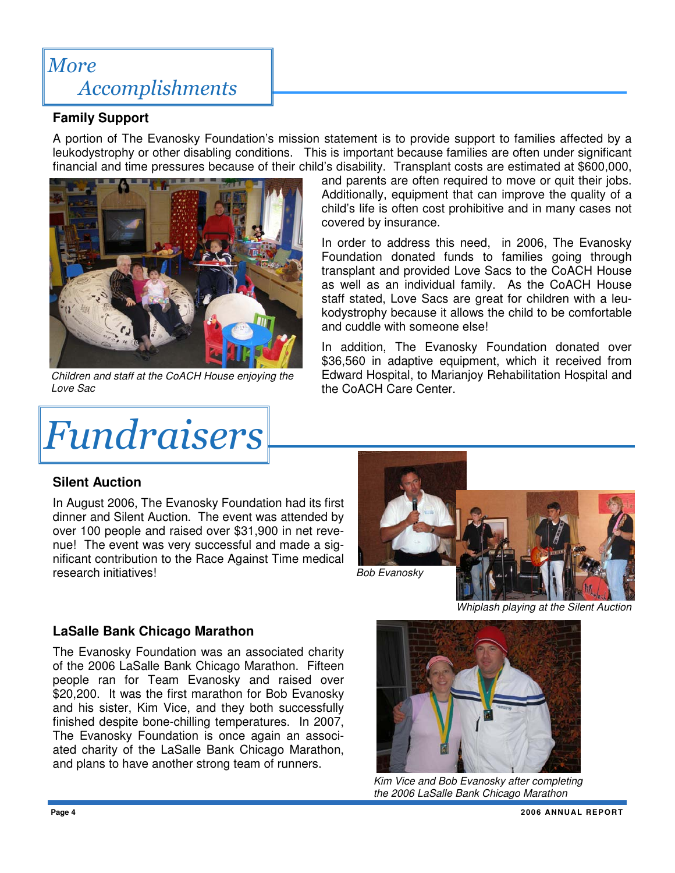# More Accomplishments

# **Family Support**

A portion of The Evanosky Foundation's mission statement is to provide support to families affected by a leukodystrophy or other disabling conditions. This is important because families are often under significant financial and time pressures because of their child's disability. Transplant costs are estimated at \$600,000,



Children and staff at the CoACH House enjoying the Love Sac

# Fundraisers

and parents are often required to move or quit their jobs. Additionally, equipment that can improve the quality of a child's life is often cost prohibitive and in many cases not covered by insurance.

In order to address this need, in 2006, The Evanosky Foundation donated funds to families going through transplant and provided Love Sacs to the CoACH House as well as an individual family. As the CoACH House staff stated, Love Sacs are great for children with a leukodystrophy because it allows the child to be comfortable and cuddle with someone else!

In addition, The Evanosky Foundation donated over \$36,560 in adaptive equipment, which it received from Edward Hospital, to Marianjoy Rehabilitation Hospital and the CoACH Care Center.

# **Silent Auction**

In August 2006, The Evanosky Foundation had its first dinner and Silent Auction. The event was attended by over 100 people and raised over \$31,900 in net revenue! The event was very successful and made a significant contribution to the Race Against Time medical research initiatives!



Whiplash playing at the Silent Auction

# **LaSalle Bank Chicago Marathon**

The Evanosky Foundation was an associated charity of the 2006 LaSalle Bank Chicago Marathon. Fifteen people ran for Team Evanosky and raised over \$20,200. It was the first marathon for Bob Evanosky and his sister, Kim Vice, and they both successfully finished despite bone-chilling temperatures. In 2007, The Evanosky Foundation is once again an associated charity of the LaSalle Bank Chicago Marathon, and plans to have another strong team of runners.



Kim Vice and Bob Evanosky after completing the 2006 LaSalle Bank Chicago Marathon

**Page 4 2006 ANNU AL REPORT**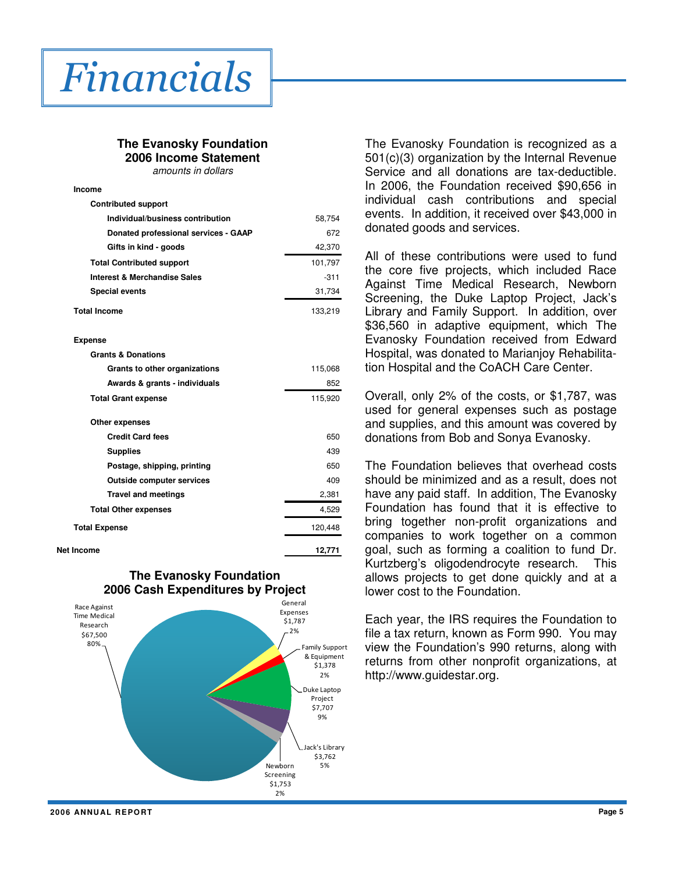

**Income**

#### **The Evanosky Foundation 2006 Income Statement**

amounts in dollars

|  |  | <u>anoanto in aoilaio</u> |  |
|--|--|---------------------------|--|
|  |  |                           |  |
|  |  |                           |  |

| <b>Contributed support</b>              |         |
|-----------------------------------------|---------|
| Individual/business contribution        | 58,754  |
| Donated professional services - GAAP    | 672     |
| Gifts in kind - goods                   | 42,370  |
| <b>Total Contributed support</b>        | 101,797 |
| <b>Interest &amp; Merchandise Sales</b> | $-311$  |
| <b>Special events</b>                   | 31,734  |
| <b>Total Income</b>                     | 133,219 |
| <b>Expense</b>                          |         |
| <b>Grants &amp; Donations</b>           |         |
| Grants to other organizations           | 115,068 |
| Awards & grants - individuals           | 852     |
| <b>Total Grant expense</b>              | 115,920 |
| Other expenses                          |         |
| <b>Credit Card fees</b>                 | 650     |
| <b>Supplies</b>                         | 439     |
| Postage, shipping, printing             | 650     |
| <b>Outside computer services</b>        | 409     |
| <b>Travel and meetings</b>              | 2,381   |
| <b>Total Other expenses</b>             | 4,529   |
| <b>Total Expense</b>                    | 120,448 |
| Net Income                              | 12,771  |
|                                         |         |





The Evanosky Foundation is recognized as a 501(c)(3) organization by the Internal Revenue Service and all donations are tax-deductible. In 2006, the Foundation received \$90,656 in individual cash contributions and special events. In addition, it received over \$43,000 in donated goods and services.

All of these contributions were used to fund the core five projects, which included Race Against Time Medical Research, Newborn Screening, the Duke Laptop Project, Jack's Library and Family Support. In addition, over \$36,560 in adaptive equipment, which The Evanosky Foundation received from Edward Hospital, was donated to Marianjoy Rehabilitation Hospital and the CoACH Care Center.

Overall, only 2% of the costs, or \$1,787, was used for general expenses such as postage and supplies, and this amount was covered by donations from Bob and Sonya Evanosky.

The Foundation believes that overhead costs should be minimized and as a result, does not have any paid staff. In addition, The Evanosky Foundation has found that it is effective to bring together non-profit organizations and companies to work together on a common goal, such as forming a coalition to fund Dr. Kurtzberg's oligodendrocyte research. This allows projects to get done quickly and at a lower cost to the Foundation.

Each year, the IRS requires the Foundation to file a tax return, known as Form 990. You may view the Foundation's 990 returns, along with returns from other nonprofit organizations, at http://www.guidestar.org.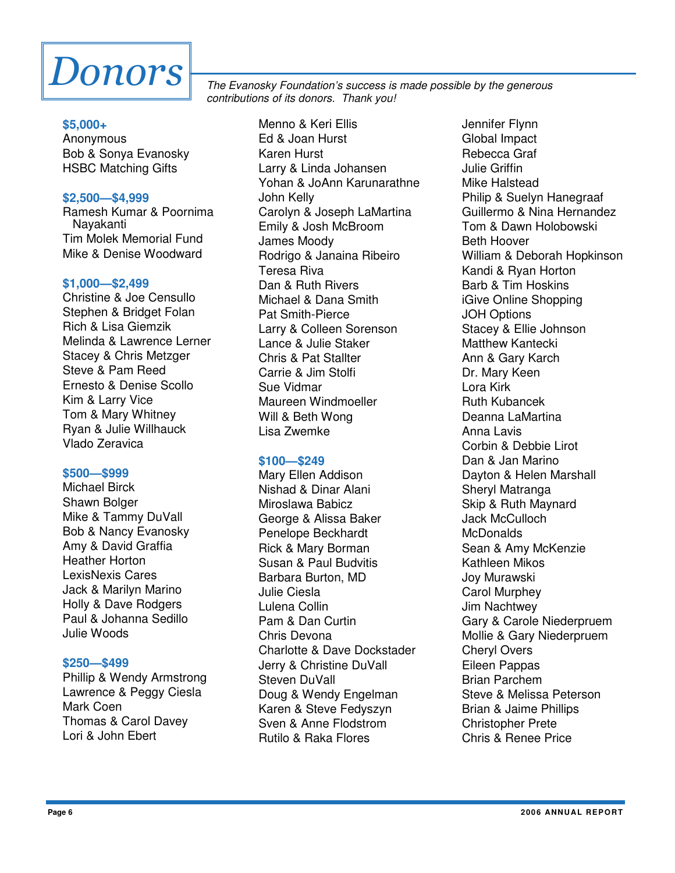

#### **\$5,000+**

Anonymous Bob & Sonya Evanosky HSBC Matching Gifts

#### **\$2,500—\$4,999**

Ramesh Kumar & Poornima Nayakanti Tim Molek Memorial Fund Mike & Denise Woodward

#### **\$1,000—\$2,499**

Christine & Joe Censullo Stephen & Bridget Folan Rich & Lisa Giemzik Melinda & Lawrence Lerner Stacey & Chris Metzger Steve & Pam Reed Ernesto & Denise Scollo Kim & Larry Vice Tom & Mary Whitney Ryan & Julie Willhauck Vlado Zeravica

#### **\$500—\$999**

Michael Birck Shawn Bolger Mike & Tammy DuVall Bob & Nancy Evanosky Amy & David Graffia Heather Horton LexisNexis Cares Jack & Marilyn Marino Holly & Dave Rodgers Paul & Johanna Sedillo Julie Woods

#### **\$250—\$499**

Phillip & Wendy Armstrong Lawrence & Peggy Ciesla Mark Coen Thomas & Carol Davey Lori & John Ebert

The Evanosky Foundation's success is made possible by the generous contributions of its donors. Thank you!

> Menno & Keri Ellis Ed & Joan Hurst Karen Hurst Larry & Linda Johansen Yohan & JoAnn Karunarathne John Kelly Carolyn & Joseph LaMartina Emily & Josh McBroom James Moody Rodrigo & Janaina Ribeiro Teresa Riva Dan & Ruth Rivers Michael & Dana Smith Pat Smith-Pierce Larry & Colleen Sorenson Lance & Julie Staker Chris & Pat Stallter Carrie & Jim Stolfi Sue Vidmar Maureen Windmoeller Will & Beth Wong Lisa Zwemke

#### **\$100—\$249**

Mary Ellen Addison Nishad & Dinar Alani Miroslawa Babicz George & Alissa Baker Penelope Beckhardt Rick & Mary Borman Susan & Paul Budvitis Barbara Burton, MD Julie Ciesla Lulena Collin Pam & Dan Curtin Chris Devona Charlotte & Dave Dockstader Jerry & Christine DuVall Steven DuVall Doug & Wendy Engelman Karen & Steve Fedyszyn Sven & Anne Flodstrom Rutilo & Raka Flores

Jennifer Flynn Global Impact Rebecca Graf Julie Griffin Mike Halstead Philip & Suelyn Hanegraaf Guillermo & Nina Hernandez Tom & Dawn Holobowski Beth Hoover William & Deborah Hopkinson Kandi & Ryan Horton Barb & Tim Hoskins iGive Online Shopping JOH Options Stacey & Ellie Johnson Matthew Kantecki Ann & Gary Karch Dr. Mary Keen Lora Kirk Ruth Kubancek Deanna LaMartina Anna Lavis Corbin & Debbie Lirot Dan & Jan Marino Dayton & Helen Marshall Sheryl Matranga Skip & Ruth Maynard Jack McCulloch **McDonalds** Sean & Amy McKenzie Kathleen Mikos Joy Murawski Carol Murphey Jim Nachtwey Gary & Carole Niederpruem Mollie & Gary Niederpruem Cheryl Overs Eileen Pappas Brian Parchem Steve & Melissa Peterson Brian & Jaime Phillips Christopher Prete Chris & Renee Price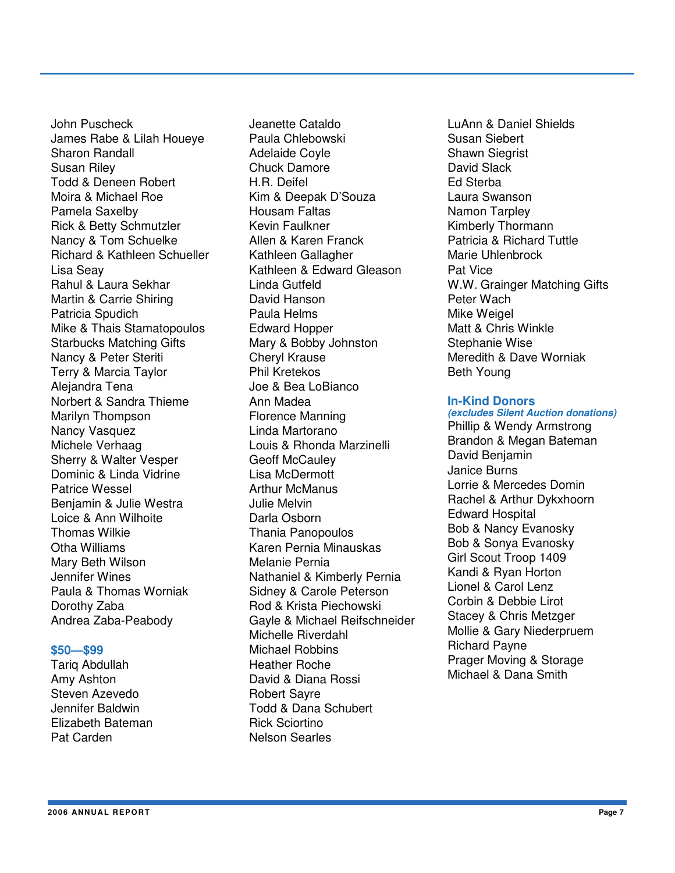John Puscheck James Rabe & Lilah Houeye Sharon Randall Susan Riley Todd & Deneen Robert Moira & Michael Roe Pamela Saxelby Rick & Betty Schmutzler Nancy & Tom Schuelke Richard & Kathleen Schueller Lisa Seay Rahul & Laura Sekhar Martin & Carrie Shiring Patricia Spudich Mike & Thais Stamatopoulos Starbucks Matching Gifts Nancy & Peter Steriti Terry & Marcia Taylor Alejandra Tena Norbert & Sandra Thieme Marilyn Thompson Nancy Vasquez Michele Verhaag Sherry & Walter Vesper Dominic & Linda Vidrine Patrice Wessel Benjamin & Julie Westra Loice & Ann Wilhoite Thomas Wilkie Otha Williams Mary Beth Wilson Jennifer Wines Paula & Thomas Worniak Dorothy Zaba Andrea Zaba-Peabody

#### **\$50—\$99**

Tariq Abdullah Amy Ashton Steven Azevedo Jennifer Baldwin Elizabeth Bateman Pat Carden

Jeanette Cataldo Paula Chlebowski Adelaide Coyle Chuck Damore H.R. Deifel Kim & Deepak D'Souza Housam Faltas Kevin Faulkner Allen & Karen Franck Kathleen Gallagher Kathleen & Edward Gleason Linda Gutfeld David Hanson Paula Helms Edward Hopper Mary & Bobby Johnston Cheryl Krause Phil Kretekos Joe & Bea LoBianco Ann Madea Florence Manning Linda Martorano Louis & Rhonda Marzinelli Geoff McCauley Lisa McDermott Arthur McManus Julie Melvin Darla Osborn Thania Panopoulos Karen Pernia Minauskas Melanie Pernia Nathaniel & Kimberly Pernia Sidney & Carole Peterson Rod & Krista Piechowski Gayle & Michael Reifschneider Michelle Riverdahl Michael Robbins Heather Roche David & Diana Rossi Robert Sayre Todd & Dana Schubert Rick Sciortino Nelson Searles

LuAnn & Daniel Shields Susan Siebert Shawn Siegrist David Slack Ed Sterba Laura Swanson Namon Tarpley Kimberly Thormann Patricia & Richard Tuttle Marie Uhlenbrock Pat Vice W.W. Grainger Matching Gifts Peter Wach Mike Weigel Matt & Chris Winkle Stephanie Wise Meredith & Dave Worniak Beth Young

#### **In-Kind Donors**

**(excludes Silent Auction donations)**  Phillip & Wendy Armstrong Brandon & Megan Bateman David Benjamin Janice Burns Lorrie & Mercedes Domin Rachel & Arthur Dykxhoorn Edward Hospital Bob & Nancy Evanosky Bob & Sonya Evanosky Girl Scout Troop 1409 Kandi & Ryan Horton Lionel & Carol Lenz Corbin & Debbie Lirot Stacey & Chris Metzger Mollie & Gary Niederpruem Richard Payne Prager Moving & Storage Michael & Dana Smith